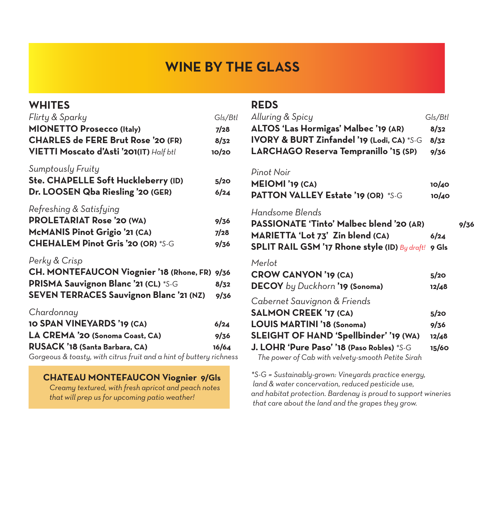# **WINE BY THE GLASS**

| <b>WHITES</b><br>Flirty & Sparky<br><b>MIONETTO Prosecco (Italy)</b><br><b>CHARLES de FERE Brut Rose '20 (FR)</b><br>VIETTI Moscato d'Asti '201(IT) Half btl                                | Gls/Btl<br>7/28<br>8/32<br>10/20 |
|---------------------------------------------------------------------------------------------------------------------------------------------------------------------------------------------|----------------------------------|
| Sumptously Fruity<br>Ste. CHAPELLE Soft Huckleberry (ID)<br>Dr. LOOSEN Qba Riesling '20 (GER)                                                                                               | 5/20<br>6/24                     |
| Refreshing & Satisfying<br><b>PROLETARIAT Rose '20 (WA)</b><br>McMANIS Pinot Grigio '21 (CA)<br><b>CHEHALEM Pinot Gris '20 (OR) *S-G</b>                                                    | 9/36<br>7/28<br>9/36             |
| Perky & Crisp<br><b>CH. MONTEFAUCON Viognier '18 (Rhone, FR)</b><br>PRISMA Sauvignon Blanc '21 (CL) *S-G<br><b>SEVEN TERRACES Sauvignon Blanc '21 (NZ)</b>                                  | 9/36<br>8/32<br>9/36             |
| Chardonnay<br><b>10 SPAN VINEYARDS '19 (CA)</b><br>LA CREMA '20 (Sonoma Coast, CA)<br>RUSACK '18 (Santa Barbara, CA)<br>Gorgeous & toasty, with citrus fruit and a hint of buttery richness | 6/24<br>9/36<br>16/64            |
|                                                                                                                                                                                             |                                  |

**CHATEAU MONTEFAUCON Viognier****9/Gls**

 *Creamy textured, with fresh apricot and peach notes that will prep us for upcoming patio weather!* 

## **REDS**

| Alluring & Spicy<br><b>ALTOS 'Las Hormigas' Malbec '19 (AR)</b><br>IVORY & BURT Zinfandel '19 (Lodi, CA) *S-G<br>LARCHAGO Reserva Tempranillo '15 (SP)                                                                                  | Gls/Btl<br>8/32<br>8/32<br>9/36 |      |
|-----------------------------------------------------------------------------------------------------------------------------------------------------------------------------------------------------------------------------------------|---------------------------------|------|
| Pinot Noir<br><b>MEIOMI</b> '19 (CA)<br><b>PATTON VALLEY Estate '19 (OR) *S-G</b>                                                                                                                                                       | 10/40<br>10/40                  |      |
| Handsome Blends<br>PASSIONATE 'Tinto' Malbec blend '20 (AR)<br>MARIETTA 'Lot 73' Zin blend (CA)<br>SPLIT RAIL GSM '17 Rhone style (ID) By draft! 9 Gls                                                                                  | 6/24                            | 9/36 |
| Merlot<br><b>CROW CANYON '19 (CA)</b><br><b>DECOY</b> by Duckhorn <b>'19 (Sonoma)</b>                                                                                                                                                   | 5/20<br>12/48                   |      |
| Cabernet Sauvignon & Friends<br><b>SALMON CREEK '17 (CA)</b><br>LOUIS MARTINI '18 (Sonoma)<br>SLEIGHT OF HAND 'Spellbinder' '19 (WA)<br>J. LOHR 'Pure Paso' '18 (Paso Robles) *S-G<br>The power of Cab with velvety-smooth Petite Sirah | 5/20<br>9/36<br>12/48<br>15/60  |      |

*\*S-G = Sustainably-grown: Vineyards practice energy, land & water concervation, reduced pesticide use, and habitat protection. Bardenay is proud to support wineries that care about the land and the grapes they grow.*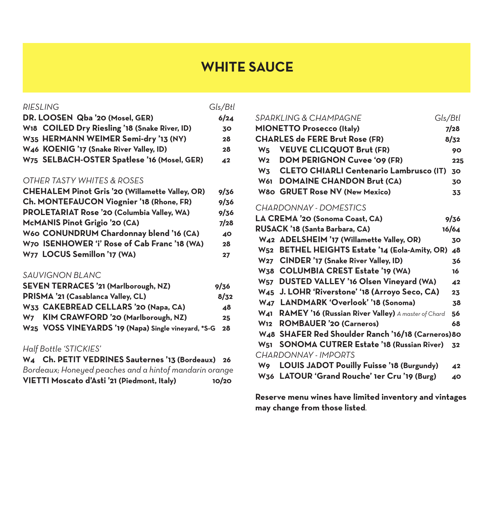# **WHITE SAUCE**

#### *RIESLING Gls/Btl*

| DR. LOOSEN Qba '20 (Mosel, GER)               | 6/24 |
|-----------------------------------------------|------|
| W18 COILED Dry Riesling '18 (Snake River, ID) | 30   |
| W35 HERMANN WEIMER Semi-dry '13 (NY)          | 28   |
| W46 KOENIG '17 (Snake River Valley, ID)       | 28   |
| W75 SELBACH-OSTER Spatlese '16 (Mosel, GER)   | 42   |

#### *OTHER TASTY WHITES & ROSES*

| <b>CHEHALEM Pinot Gris '20 (Willamette Valley, OR)</b> | 9/36 |
|--------------------------------------------------------|------|
| Ch. MONTEFAUCON Viognier '18 (Rhone, FR)               | 9/36 |
| PROLETARIAT Rose '20 (Columbia Valley, WA)             | 9/36 |
| McMANIS Pinot Grigio '20 (CA)                          | 7/28 |
| W60 CONUNDRUM Chardonnay blend '16 (CA)                | 40   |
| W70 ISENHOWER 'i' Rose of Cab Franc '18 (WA)           | 28   |
| W77 LOCUS Semillon '17 (WA)                            | 27   |

#### *SAUVIGNON BLANC*

| SEVEN TERRACES '21 (Marlborough, NZ)                   | 9/36            |
|--------------------------------------------------------|-----------------|
| PRISMA '21 (Casablanca Valley, CL)                     | 8/32            |
| W33 CAKEBREAD CELLARS '20 (Napa, CA)                   | ⊿8              |
| W7 KIM CRAWFORD '20 (Marlborough, NZ)                  | 25 <sub>1</sub> |
| W25 VOSS VINEYARDS '19 (Napa) Single vineyard, *S-G 28 |                 |

### *Half Bottle 'STICKIES'*

**W4 Ch. PETIT VEDRINES Sauternes '13 (Bordeaux) 26**  *Bordeaux; Honeyed peaches and a hintof mandarin orange* **VIETTI Moscato d'Asti '21 (Piedmont, Italy) 10/20**

|                | SPARKLING & CHAMPAGNE                      | Gls/Btl |      |
|----------------|--------------------------------------------|---------|------|
|                | <b>MIONETTO Prosecco (Italy)</b>           |         | 7/28 |
|                | <b>CHARLES de FERE Brut Rose (FR)</b>      |         | 8/32 |
|                | W <sub>5</sub> VEUVE CLICQUOT Brut (FR)    |         | 90   |
| W <sub>2</sub> | <b>DOM PERIGNON Cuvee '09 (FR)</b>         |         | 225  |
|                | W3 CLETO CHIARLI Centenario Lambrusco (IT) |         | 30   |
|                | W61 DOMAINE CHANDON Brut (CA)              |         | 30   |
|                | W80 GRUET Rose NV (New Mexico)             |         | 33   |

#### *CHARDONNAY - DOMESTICS*

|                       | LA CREMA '20 (Sonoma Coast, CA)                        | 9/36  |
|-----------------------|--------------------------------------------------------|-------|
|                       | RUSACK '18 (Santa Barbara, CA)                         | 16/64 |
|                       | W42 ADELSHEIM '17 (Willamette Valley, OR)              | 30    |
|                       | W52 BETHEL HEIGHTS Estate '14 (Eola-Amity, OR)         | 48    |
|                       | W27 CINDER '17 (Snake River Valley, ID)                | 36    |
|                       | W38 COLUMBIA CREST Estate '19 (WA)                     | 16    |
|                       | W57 DUSTED VALLEY '16 Olsen Vineyard (WA)              | 42    |
|                       | W45 J. LOHR 'Riverstone' '18 (Arroyo Seco, CA)         | 23    |
|                       | W47 LANDMARK 'Overlook' '18 (Sonoma)                   | 38    |
|                       | W41 RAMEY '16 (Russian River Valley) A master of Chard | 56    |
|                       | W12 ROMBAUER '20 (Carneros)                            | 68    |
|                       | W48 SHAFER Red Shoulder Ranch '16/18 (Carneros) 80     |       |
| <b>W<sub>51</sub></b> | <b>SONOMA CUTRER Estate '18 (Russian River)</b>        | 32    |
|                       | CHARDONNAY - IMPORTS                                   |       |
| <b>W</b> 9            | <b>LOUIS JADOT Pouilly Fuisse '18 (Burgundy)</b>       | 42    |
|                       | W36 LATOUR 'Grand Rouche' 1er Cru '19 (Burg)           | 40    |

**Reserve menu wines have limited inventory and vintages may change from those listed***.*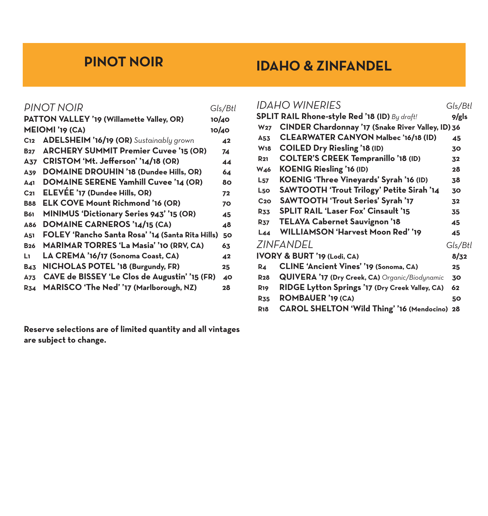# **PINOT NOIR**

# **IDAHO & ZINFANDEL**

|                 | PINOT NOIR                                       | Gls/Btl         |
|-----------------|--------------------------------------------------|-----------------|
|                 |                                                  |                 |
|                 | PATTON VALLEY '19 (Willamette Valley, OR)        | 10/40           |
|                 | <b>MEIOMI</b> '19 (CA)                           | 10/40           |
| C <sub>12</sub> | ADELSHEIM '16/19 (OR) Sustainably grown          | $\overline{42}$ |
| <b>B27</b>      | <b>ARCHERY SUMMIT Premier Cuvee '15 (OR)</b>     | 74              |
| A37             | CRISTOM 'Mt. Jefferson' '14/18 (OR)              | 44              |
| A39             | <b>DOMAINE DROUHIN '18 (Dundee Hills, OR)</b>    | 64              |
| A41             | <b>DOMAINE SERENE Yamhill Cuvee '14 (OR)</b>     | 80              |
| C <sub>21</sub> | ELEVEE '17 (Dundee Hills, OR)                    | 72              |
| <b>B88</b>      | <b>ELK COVE Mount Richmond '16 (OR)</b>          | 70              |
| <b>B61</b>      | MINIMUS 'Dictionary Series 943' '15 (OR)         | 45              |
| A86             | DOMAINE CARNEROS '14/15 (CA)                     | 48              |
| <b>A51</b>      | FOLEY 'Rancho Santa Rosa' '14 (Santa Rita Hills) | 50              |
| <b>B26</b>      | <b>MARIMAR TORRES 'La Masia' '10 (RRV, CA)</b>   | 63              |
| L٦              | LA CREMA '16/17 (Sonoma Coast, CA)               | 42              |
| <b>B43</b>      | NICHOLAS POTEL '18 (Burgundy, FR)                | 25              |
| A73             | CAVE de BISSEY 'Le Clos de Augustin' '15 (FR)    | 40              |
| <b>R34</b>      | MARISCO 'The Ned' '17 (Marlborough, NZ)          | 28              |
|                 |                                                  |                 |

**Reserve selections are of limited quantity and all vintages are subject to change.**

|                 | <b>IDAHO WINERIES</b>                                | Gls/Btl |
|-----------------|------------------------------------------------------|---------|
|                 | <b>SPLIT RAIL Rhone-style Red '18 (ID)</b> By draft! | 9/gls   |
| W <sub>27</sub> | CINDER Chardonnay '17 (Snake River Valley, ID) 36    |         |
| A53             | <b>CLEARWATER CANYON Malbec '16/18 (ID)</b>          | 45      |
| <b>W18</b>      | <b>COILED Dry Riesling '18 (ID)</b>                  | 30      |
| <b>R21</b>      | <b>COLTER'S CREEK Tempranillo '18 (ID)</b>           | 32      |
| <b>W46</b>      | <b>KOENIG Riesling '16 (ID)</b>                      | 28      |
| $L_{57}$        | KOENIG 'Three Vineyards' Syrah '16 (ID)              | 38      |
| L50             | SAWTOOTH 'Trout Trilogy' Petite Sirah '14            | 30      |
| C <sub>20</sub> | SAWTOOTH 'Trout Series' Syrah '17                    | 32      |
| <b>R33</b>      | <b>SPLIT RAIL 'Laser Fox' Cinsault '15</b>           | 35      |
| <b>R37</b>      | TELAYA Cabernet Sauvignon '18                        | 45      |
| L44             | <b>WILLIAMSON 'Harvest Moon Red' '19</b>             | 45      |
|                 | ZINFANDEL                                            | Gls/Btl |
|                 | IVORY & BURT '19 (Lodi, CA)                          | 8/32    |
| <b>R4</b>       | <b>CLINE 'Ancient Vines' '19 (Sonoma, CA)</b>        | 25      |
| <b>R28</b>      | QUIVERA '17 (Dry Creek, CA) Organic/Biodynamic       | 30      |
| <b>R19</b>      | RIDGE Lytton Springs '17 (Dry Creek Valley, CA)      | 62      |
| <b>R35</b>      | ROMBAUER '19 (CA)                                    | 50      |
| <b>R18</b>      | CAROL SHELTON 'Wild Thing' '16 (Mendocino) 28        |         |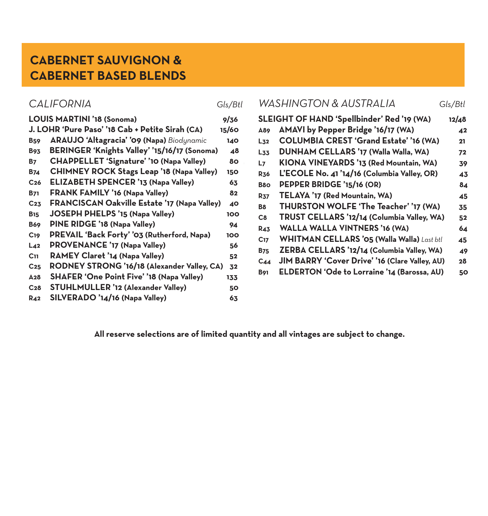# **CABERNET SAUVIGNON & CABERNET BASED BLENDS**

|  | Gls/Bti |
|--|---------|

|  | e. |
|--|----|
|  |    |

|                        | LOUIS MARTINI '18 (Sonoma)                          | 9/36       |
|------------------------|-----------------------------------------------------|------------|
|                        | J. LOHR 'Pure Paso' '18 Cab + Petite Sirah (CA)     | 15/60      |
| <b>B</b> <sub>59</sub> | ARAUJO 'Altagracia' '09 (Napa) Biodynamic           | 140        |
| <b>B93</b>             | BERINGER 'Knights Valley' '15/16/17 (Sonoma)        | 48         |
| <b>B7</b>              | <b>CHAPPELLET 'Signature' '10 (Napa Valley)</b>     | 80         |
| <b>B74</b>             | <b>CHIMNEY ROCK Stags Leap '18 (Napa Valley)</b>    | <b>150</b> |
| C <sub>26</sub>        | <b>ELIZABETH SPENCER '13 (Napa Valley)</b>          | 63         |
| <b>B71</b>             | <b>FRANK FAMILY '16 (Napa Valley)</b>               | 82         |
| C <sub>23</sub>        | <b>FRANCISCAN Oakville Estate '17 (Napa Valley)</b> | 40         |
| <b>B</b> <sub>15</sub> | <b>JOSEPH PHELPS '15 (Napa Valley)</b>              | 100        |
| <b>B69</b>             | PINE RIDGE '18 (Napa Valley)                        | 94         |
| C <sub>19</sub>        | PREVAIL 'Back Forty' '03 (Rutherford, Napa)         | 100        |
| L <sub>42</sub>        | <b>PROVENANCE '17 (Napa Valley)</b>                 | 56         |
| C <sub>11</sub>        | RAMEY Claret '14 (Napa Valley)                      | 52         |
| C <sub>25</sub>        | RODNEY STRONG '16/18 (Alexander Valley, CA)         | 32         |
| A28                    | SHAFER 'One Point Five' '18 (Napa Valley)           | 133        |
| C <sub>28</sub>        | STUHLMULLER '12 (Alexander Valley)                  | 50         |
| <b>R42</b>             | SILVERADO '14/16 (Napa Valley)                      | 63         |

|                                                         | <b>CALIFORNIA</b>                                                                                                                                                          | Gls/Btl                    | <b>WASHINGTON &amp; AUSTRALIA</b><br>Gls/Btl                                                                                                                                                        |                                      |
|---------------------------------------------------------|----------------------------------------------------------------------------------------------------------------------------------------------------------------------------|----------------------------|-----------------------------------------------------------------------------------------------------------------------------------------------------------------------------------------------------|--------------------------------------|
| <b>B</b> <sub>59</sub><br><b>B93</b>                    | LOUIS MARTINI '18 (Sonoma)<br>J. LOHR 'Pure Paso' '18 Cab + Petite Sirah (CA)<br>ARAUJO 'Altagracia' '09 (Napa) Biodynamic<br>BERINGER 'Knights Valley' '15/16/17 (Sonoma) | 9/36<br>15/60<br>140<br>48 | SLEIGHT OF HAND 'Spellbinder' Red '19 (WA)<br>AMAVI by Pepper Bridge '16/17 (WA)<br>A89<br>COLUMBIA CREST 'Grand Estate' '16 (WA)<br>$L_{32}$<br><b>DUNHAM CELLARS '17 (Walla Walla, WA)</b><br>L33 | 12/48<br>$\overline{42}$<br>21<br>72 |
| <b>B7</b><br><b>B74</b><br>C <sub>26</sub>              | <b>CHAPPELLET 'Signature' '10 (Napa Valley)</b><br><b>CHIMNEY ROCK Stags Leap '18 (Napa Valley)</b><br><b>ELIZABETH SPENCER '13 (Napa Valley)</b>                          | 80<br>150<br>63            | KIONA VINEYARDS '13 (Red Mountain, WA)<br>L <sub>7</sub><br>L'ECOLE No. 41 '14/16 (Columbia Valley, OR)<br><b>R36</b><br>PEPPER BRIDGE '15/16 (OR)<br>B <sub>80</sub>                               | 39<br>43<br>84                       |
| <b>B71</b><br>C <sub>23</sub><br><b>B</b> <sub>15</sub> | <b>FRANK FAMILY '16 (Napa Valley)</b><br><b>FRANCISCAN Oakville Estate '17 (Napa Valley)</b><br><b>JOSEPH PHELPS '15 (Napa Valley)</b>                                     | 82<br>40<br>100            | TELAYA '17 (Red Mountain, WA)<br><b>R37</b><br>THURSTON WOLFE 'The Teacher' '17 (WA)<br><b>B8</b><br>TRUST CELLARS '12/14 (Columbia Valley, WA)<br>C8                                               | 45<br>35<br>52                       |
| <b>B69</b><br>C <sub>19</sub><br>$L_{42}$               | PINE RIDGE '18 (Napa Valley)<br>PREVAIL 'Back Forty' '03 (Rutherford, Napa)<br><b>PROVENANCE '17 (Napa Valley)</b>                                                         | 94<br>100<br>56            | <b>WALLA WALLA VINTNERS '16 (WA)</b><br><b>R43</b><br><b>WHITMAN CELLARS '05 (Walla Walla)</b> Last btl<br>C <sub>17</sub><br>ZERBA CELLARS '12/14 (Columbia Valley, WA)<br><b>B75</b>              | 64<br>45<br>49                       |
| C <sub>11</sub><br>C <sub>25</sub>                      | RAMEY Claret '14 (Napa Valley)<br>RODNEY STRONG '16/18 (Alexander Valley, CA)<br>A <sub>28</sub> SHAFER 'One Point Five' '18 (Napa Valley)                                 | 52<br>32<br>133.           | JIM BARRY 'Cover Drive' '16 (Clare Valley, AU)<br>$C_{44}$<br>ELDERTON 'Ode to Lorraine '14 (Barossa, AU)<br><b>B91</b>                                                                             | 28<br>50                             |

 **All reserve selections are of limited quantity and all vintages are subject to change.**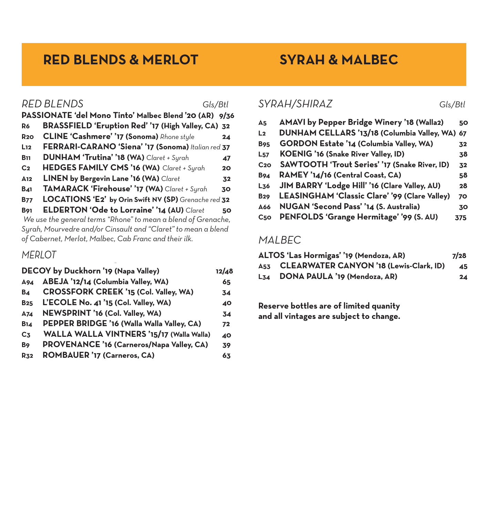# **RED BLENDS & MERLOT SYRAH & MALBEC**

|                                                               | PASSIONATE 'del Mono Tinto' Malbec Blend '20 (AR) 9/36 |    |
|---------------------------------------------------------------|--------------------------------------------------------|----|
| R <sub>6</sub>                                                | BRASSFIELD 'Eruption Red' '17 (High Valley, CA) 32     |    |
| <b>R20</b>                                                    | CLINE 'Cashmere' '17 (Sonoma) Rhone style              | 24 |
| L <sub>12</sub>                                               | FERRARI-CARANO 'Siena' '17 (Sonoma) Italian red 37     |    |
| <b>B</b> <sub>11</sub>                                        | DUNHAM 'Trutina' '18 (WA) Claret + Syrah               | 47 |
| C <sub>2</sub>                                                | HEDGES FAMILY CMS '16 (WA) Claret + Syrah              | 20 |
| A <sub>12</sub>                                               | LINEN by Bergevin Lane '16 (WA) Claret                 | 32 |
| <b>B41</b>                                                    | TAMARACK 'Firehouse' '17 (WA) Claret + Syrah           | 30 |
| <b>B77</b>                                                    | LOCATIONS 'E2' by Orin Swift NV (SP) Grenache red 32   |    |
| <b>B</b> 91                                                   | ELDERTON 'Ode to Lorraine' '14 (AU) Claret             | 50 |
| We use the general terms "Rhone" to mean a blend of Grenache, |                                                        |    |
| Syrah, Mourvedre and/or Cinsault and "Claret" to mean a blend |                                                        |    |
| of Cabernet, Merlot, Malbec, Cab Franc and their ilk.         |                                                        |    |

#### *MERLOT*

|                | DECOY by Duckhorn '19 (Napa Valley)        | 12/48 |
|----------------|--------------------------------------------|-------|
| A94            | ABEJA '12/14 (Columbia Valley, WA)         | 65    |
| <b>B4</b>      | CROSSFORK CREEK '15 (Col. Valley, WA)      | 34    |
| <b>B25</b>     | L'ECOLE No. 41 '15 (Col. Valley, WA)       | 40    |
| A74            | NEWSPRINT '16 (Col. Valley, WA)            | 34    |
| <b>B14</b>     | PEPPER BRIDGE '16 (Walla Walla Valley, CA) | 72    |
| C <sub>3</sub> | WALLA WALLA VINTNERS '15/17 (Walla Walla)  | 40    |
| B <sub>9</sub> | PROVENANCE '16 (Carneros/Napa Valley, CA)  | 39    |
| <b>R32</b>     | <b>ROMBAUER '17 (Carneros, CA)</b>         | 63    |
|                |                                            |       |

### *RED BLENDS Gls/Btl SYRAH/SHIRAZ Gls/Btl*

| A <sub>5</sub>   | <b>AMAVI by Pepper Bridge Winery '18 (Walla2)</b> | 50  |
|------------------|---------------------------------------------------|-----|
| L <sub>2</sub>   | DUNHAM CELLARS '13/18 (Columbia Valley, WA)       | 67  |
| <b>B95</b>       | GORDON Estate '14 (Columbia Valley, WA)           | 32  |
| $L_{57}$         | <b>KOENIG '16 (Snake River Valley, ID)</b>        | 38  |
| C <sub>2</sub> O | SAWTOOTH 'Trout Series' '17 (Snake River, ID)     | 32  |
| <b>B94</b>       | RAMEY '14/16 (Central Coast, CA)                  | 58  |
| L <sub>36</sub>  | JIM BARRY 'Lodge Hill' '16 (Clare Valley, AU)     | 28  |
| <b>B29</b>       | LEASINGHAM 'Classic Clare' '99 (Clare Valley)     | 70  |
| A66              | NUGAN 'Second Pass' '14 (S. Australia)            | 30  |
| C <sub>50</sub>  | PENFOLDS 'Grange Hermitage' '99 (S. AU)           | 375 |
|                  |                                                   |     |

## *MALBEC*

| ALTOS 'Las Hormigas' '19 (Mendoza, AR)      | 7/28 |
|---------------------------------------------|------|
| A53 CLEARWATER CANYON '18 (Lewis-Clark, ID) | 45   |
| L34 DONA PAULA '19 (Mendoza, AR)            | 24   |

**Reserve bottles are of limited quanity and all vintages are subject to change.**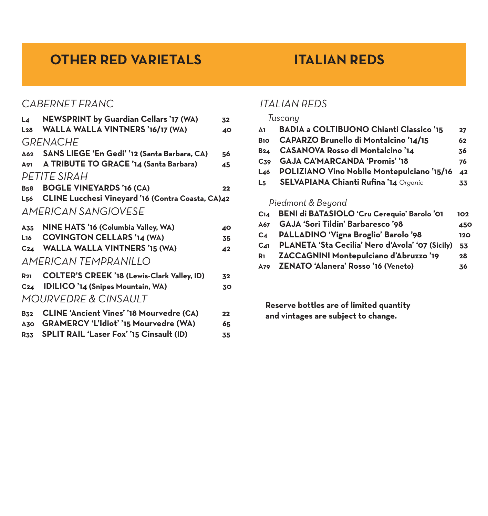# **OTHER RED VARIETALS ITALIAN REDS**

## *CABERNET FRANC*

| L4              | NEWSPRINT by Guardian Cellars '17 (WA)             | 32              |
|-----------------|----------------------------------------------------|-----------------|
| L28             | WALLA WALLA VINTNERS '16/17 (WA)                   | 40              |
|                 | <b>GRENACHE</b>                                    |                 |
| $\Delta 62$     | SANS LIEGE 'En Gedi' '12 (Santa Barbara, CA)       | 56              |
| A91             | A TRIBUTE TO GRACE '14 (Santa Barbara)             | 45              |
|                 | PETITE SIRAH                                       |                 |
| <b>B58</b>      | <b>BOGLE VINEYARDS '16 (CA)</b>                    | 22              |
| L <sub>56</sub> | CLINE Lucchesi Vineyard '16 (Contra Coasta, CA)42  |                 |
|                 | <b>AMERICAN SANGIOVESE</b>                         |                 |
| A35             | NINE HATS '16 (Columbia Valley, WA)                | 40              |
| L <sub>16</sub> | <b>COVINGTON CELLARS '14 (WA)</b>                  | 35              |
| C <sub>24</sub> | <b>WALLA WALLA VINTNERS '15 (WA)</b>               | $\overline{42}$ |
|                 | <b>AMERICAN TEMPRANILLO</b>                        |                 |
| $R_{21}$        | <b>COLTER'S CREEK '18 (Lewis-Clark Valley, ID)</b> | 32              |
| C <sub>24</sub> | <b>IDILICO '14 (Snipes Mountain, WA)</b>           | 30              |
|                 | MOURVEDRE & CINSAULT                               |                 |
| <b>B32</b>      | <b>CLINE 'Ancient Vines' '18 Mourvedre (CA)</b>    | 22              |

- **A30 GRAMERCY 'L'Idiot' '15 Mourvedre (WA) 65**
- **R33 SPLIT RAIL 'Laser Fox' '15 Cinsault (ID)****35**

## *ITALIAN REDS*

#### *Tuscany*

| A1              | <b>BADIA a COLTIBUONO Chianti Classico '15</b> | 27  |
|-----------------|------------------------------------------------|-----|
| B <sub>10</sub> | CAPARZO Brunello di Montalcino '14/15          | 62  |
| B24             | <b>CASANOVA Rosso di Montalcino '14</b>        | 36  |
| C <sub>39</sub> | <b>GAJA CA'MARCANDA 'Promis' '18</b>           | 76  |
| $L_{46}$        | POLIZIANO Vino Nobile Montepulciano '15/16     | 42  |
| L <sub>5</sub>  | SELVAPIANA Chianti Rufina '14 Organic          | 33  |
|                 | Piedmont & Beyond                              |     |
| C <sub>14</sub> | BENI di BATASIOLO 'Cru Cerequio' Barolo '01    | 102 |

- **A67 GAJA 'Sori Tildin' Barbaresco '98 450 C4 PALLADINO 'Vigna Broglio' Barolo '98****120**
- **C41 PLANETA 'Sta Cecilia' Nero d'Avola' '07 (Sicily) 53**
- **R1 ZACCAGNINI Montepulciano d'Abruzzo '19****28**
- **A79 ZENATO 'Alanera' Rosso '16 (Veneto)****36**

**Reserve bottles are of limited quantity and vintages are subject to change.**